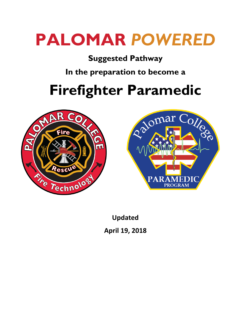# **PALOMAR** *POWERED*

# **Suggested Pathway**

**In the preparation to become a**

# **Firefighter Paramedic**





**Updated April 19, 2018**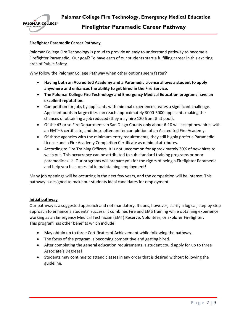

Palomar College Fire Technology is proud to provide an easy to understand pathway to become a Firefighter Paramedic. Our goal? To have each of our students start a fulfilling career in this exciting area of Public Safety.

Why follow the Palomar College Pathway when other options seem faster?

- **Having both an Accredited Academy and a Paramedic License allows a student to apply anywhere and enhances the ability to get hired in the Fire Service.**
- **The Palomar College Fire Technology and Emergency Medical Education programs have an excellent reputation.**
- Competition for jobs by applicants with minimal experience creates a significant challenge. Applicant pools in large cities can reach approximately 3000-5000 applicants making the chances of obtaining a job reduced (they may hire 120 from that pool).
- Of the 43 or so Fire Departments in San Diego County only about 6-10 will accept new hires with an EMT–B certificate, and these often prefer completion of an Accredited Fire Academy.
- Of those agencies with the minimum entry requirements, they still highly prefer a Paramedic License and a Fire Academy Completion Certificate as minimal attributes.
- According to Fire Training Officers, It is not uncommon for approximately 30% of new hires to wash out. This occurrence can be attributed to sub-standard training programs or poor paramedic skills. Our programs will prepare you for the rigors of being a Firefighter Paramedic and help you be successful in maintaining employment!

Many job openings will be occurring in the next few years, and the competition will be intense. This pathway is designed to make our students ideal candidates for employment.

#### **Initial pathway**

Our pathway is a suggested approach and not mandatory. It does, however, clarify a logical, step by step approach to enhance a students' success. It combines Fire and EMS training while obtaining experience working as an Emergency Medical Technician (EMT) Reserve, Volunteer, or Explorer Firefighter. This program has other benefits which include:

- May obtain up to three Certificates of Achievement while following the pathway.
- The focus of the program is becoming competitive and getting hired.
- After completing the general education requirements, a student could apply for up to three Associate's Degrees!
- Students may continue to attend classes in any order that is desired without following the guideline.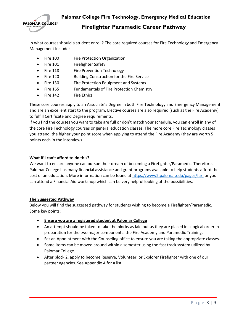

In what courses should a student enroll? The core required courses for Fire Technology and Emergency Management include:

- Fire 100 Fire Protection Organization
- Fire 101 Firefighter Safety
- Fire 118 Fire Prevention Technology
- Fire 120 Building Construction for the Fire Service
- Fire 130 Fire Protection Equipment and Systems
- Fire 165 Fundamentals of Fire Protection Chemistry
- Fire 142 Fire Ethics

These core courses apply to an Associate's Degree in both Fire Technology and Emergency Management and are an excellent start to the program. Elective courses are also required (such as the Fire Academy) to fulfill Certificate and Degree requirements.

If you find the courses you want to take are full or don't match your schedule, you can enroll in any of the core Fire Technology courses or general education classes. The more core Fire Technology classes you attend, the higher your point score when applying to attend the Fire Academy (they are worth 5 points each in the interview).

# **What If I can't afford to do this?**

We want to ensure anyone can pursue their dream of becoming a Firefighter/Paramedic. Therefore, Palomar College has many financial assistance and grant programs available to help students afford the cost of an education. More information can be found at [https://www2.palomar.edu/pages/fa/,](https://www2.palomar.edu/pages/fa/) or you can attend a Financial Aid workshop which can be very helpful looking at the possibilities.

# **The Suggested Pathway**

Below you will find the suggested pathway for students wishing to become a Firefighter/Paramedic. Some key points:

- **Ensure you are a registered student at Palomar College**
- An attempt should be taken to take the blocks as laid out as they are placed in a logical order in preparation for the two major components: the Fire Academy and Paramedic Training.
- Set an Appointment with the Counseling office to ensure you are taking the appropriate classes.
- Some items can be moved around within a semester using the fast track system utilized by Palomar College.
- After block 2, apply to become Reserve, Volunteer, or Explorer Firefighter with one of our partner agencies. See Appendix A for a list.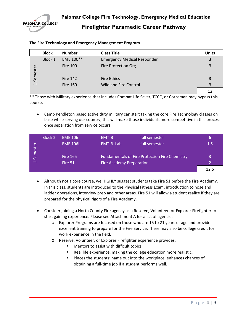

|                          | <b>Block</b> | <b>Number</b>   | <b>Class Title</b>                 | <b>Units</b> |
|--------------------------|--------------|-----------------|------------------------------------|--------------|
|                          | Block 1      | EME 100**       | <b>Emergency Medical Responder</b> | 3            |
| Semeste                  |              | <b>Fire 100</b> | <b>Fire Protection Org</b>         | 3            |
|                          |              | <b>Fire 142</b> | <b>Fire Ethics</b>                 | 3            |
| $\overline{\phantom{0}}$ |              | <b>Fire 160</b> | <b>Wildland Fire Control</b>       | 3            |
|                          |              |                 |                                    | 12           |

## **The Fire Technology and Emergency Management Program**

\*\* Those with Military experience that includes Combat Life Saver, TCCC, or Corpsman may bypass this course.

• Camp Pendleton based active duty military can start taking the core Fire Technology classes on base while serving our country; this will make those individuals more competitive in this process once separation from service occurs.

|                | <b>Block 2</b> | <b>EME 106</b>  | EMT-B                           | full semester                                         | 6       |
|----------------|----------------|-----------------|---------------------------------|-------------------------------------------------------|---------|
| Semester       |                | <b>EME 106L</b> | EMT-B Lab                       | full semester                                         | $1.5\,$ |
|                |                | <b>Fire 165</b> |                                 | <b>Fundamentals of Fire Protection Fire Chemistry</b> | 3       |
| $\blacksquare$ |                | Fire 51         | <b>Fire Academy Preparation</b> |                                                       |         |
|                |                |                 |                                 |                                                       | 12.5    |

- Although not a core course, we HIGHLY suggest students take Fire 51 before the Fire Academy. In this class, students are introduced to the Physical Fitness Exam, introduction to hose and ladder operations, interview prep and other areas. Fire 51 will allow a student realize if they are prepared for the physical rigors of a Fire Academy.
- Consider joining a North County Fire agency as a Reserve, Volunteer, or Explorer Firefighter to start gaining experience. Please see Attachment A for a list of agencies.
	- o Explorer Programs are focused on those who are 15 to 21 years of age and provide excellent training to prepare for the Fire Service. There may also be college credit for work experience in the field.
	- o Reserve, Volunteer, or Explorer Firefighter experience provides:
		- Mentors to assist with difficult topics.
		- Real life experience, making the college education more realistic.
		- **Places the students' name out into the workplace, enhances chances of** obtaining a full-time job if a student performs well.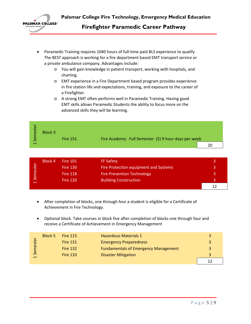

- Paramedic Training requires 1040 hours of full-time paid BLS experience to qualify. The BEST approach is working for a fire department based EMT transport service or a private ambulance company. Advantages include:
	- o You will gain knowledge in patient transport, working with hospitals, and charting.
	- o EMT experience in a Fire Department based program provides experience in fire station life and expectations, training, and exposure to the career of a Firefighter.
	- o A strong EMT often performs well in Paramedic Training. Having good EMT skills allows Paramedic Students the ability to focus more on the advanced skills they will be learning.

| este<br>Serr          | <b>Block 3</b> | <b>Fire 151</b> | Fire Academy: Full Semester (5) 9 hour days per week |  |
|-----------------------|----------------|-----------------|------------------------------------------------------|--|
| $\mathord{\text{--}}$ |                |                 |                                                      |  |

| ∽<br>este        | Block 4 | <b>Fire 101</b> | <b>FF Safety</b>                      |   |
|------------------|---------|-----------------|---------------------------------------|---|
|                  |         | <b>Fire 130</b> | Fire Protection equipment and Systems | 3 |
|                  |         | <b>Fire 118</b> | <b>Fire Prevention Technology</b>     |   |
| Ser<br>$\exists$ |         | <b>Fire 120</b> | <b>Building Construction</b>          |   |
|                  |         |                 |                                       |   |

- After completion of blocks, one through four a student is eligible for a Certificate of Achievement in Fire Technology.
- Optional block. Take courses in block five after completion of blocks one through four and receive a Certificate of Achievement in Emergency Management

| stei      | Block 5 | <b>Fire 115</b> | <b>Hazardous Materials 1</b>                |  |
|-----------|---------|-----------------|---------------------------------------------|--|
|           |         | <b>Fire 131</b> | <b>Emergency Preparedness</b>               |  |
|           |         | <b>Fire 132</b> | <b>Fundamentals of Emergency Management</b> |  |
| Serr<br>ᅱ |         | <b>Fire 133</b> | <b>Disaster Mitigation</b>                  |  |
|           |         |                 |                                             |  |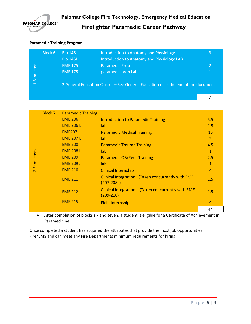

# **Paramedic Training Program**

| Semester<br>$\overline{\phantom{0}}$ | Block 6 | <b>Bio 145</b>  | Introduction to Anatomy and Physiology                                           | 3 |
|--------------------------------------|---------|-----------------|----------------------------------------------------------------------------------|---|
|                                      |         | <b>Bio 145L</b> | Introduction to Anatomy and Physiology LAB                                       | 1 |
|                                      |         | <b>EME 175</b>  | <b>Paramedic Prep</b>                                                            |   |
|                                      |         | <b>EME 175L</b> | paramedic prep Lab                                                               |   |
|                                      |         |                 | 2 General Education Classes - See General Education near the end of the document |   |
|                                      |         |                 |                                                                                  |   |

|           | <b>Block 7</b> | <b>Paramedic Training</b> |                                                                              |                |
|-----------|----------------|---------------------------|------------------------------------------------------------------------------|----------------|
|           |                | <b>EME 206</b>            | <b>Introduction to Paramedic Training</b>                                    | 5.5            |
|           |                | <b>EME 206 L</b>          | lab                                                                          | 1.5            |
|           |                | <b>EME207</b>             | <b>Paramedic Medical Training</b>                                            | 10             |
|           |                | <b>EME 207 L</b>          | lab                                                                          | $\overline{2}$ |
|           |                | <b>EME 208</b>            | <b>Paramedic Trauma Training</b>                                             | 4.5            |
| Semesters |                | <b>EME 208 L</b>          | lab                                                                          | $\mathbf{1}$   |
|           |                | <b>EME 209</b>            | <b>Paramedic OB/Peds Training</b>                                            | 2.5            |
|           |                | <b>EME 209L</b>           | lab                                                                          | 1              |
| $\sim$    |                | <b>EME 210</b>            | <b>Clinical Internship</b>                                                   | 4              |
|           |                | <b>EME 211</b>            | <b>Clinical Integration I (Taken concurrently with EME</b><br>$(207 - 208L)$ | 1.5            |
|           |                | <b>EME 212</b>            | Clinical Integration II (Taken concurrently with EME<br>$(209-210)$          | 1.5            |
|           |                | <b>EME 215</b>            | <b>Field Internship</b>                                                      | $\mathbf{q}$   |
|           |                |                           |                                                                              | 44             |

• After completion of blocks six and seven, a student is eligible for a Certificate of Achievement in Paramedicine.

Once completed a student has acquired the attributes that provide the most job opportunities in Fire/EMS and can meet any Fire Departments minimum requirements for hiring.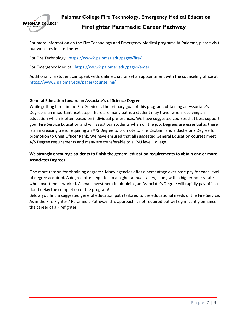

For more information on the Fire Technology and Emergency Medical programs At Palomar, please visit our websites located here:

For Fire Technology: <https://www2.palomar.edu/pages/fire/>

For Emergency Medical:<https://www2.palomar.edu/pages/eme/>

Additionally, a student can speak with, online chat, or set an appointment with the counseling office at <https://www2.palomar.edu/pages/counseling/>

### **General Education toward an Associate's of Science Degree**

While getting hired in the Fire Service is the primary goal of this program, obtaining an Associate's Degree is an important next step. There are many paths a student may travel when receiving an education which is often based on individual preferences. We have suggested courses that best support your Fire Service Education and will assist our students when on the job. Degrees are essential as there is an increasing trend requiring an A/S Degree to promote to Fire Captain, and a Bachelor's Degree for promotion to Chief Officer Rank. We have ensured that all suggested General Education courses meet A/S Degree requirements and many are transferable to a CSU level College.

# **We strongly encourage students to finish the general education requirements to obtain one or more Associates Degrees.**

One more reason for obtaining degrees: Many agencies offer a percentage over base pay for each level of degree acquired. A degree often equates to a higher annual salary, along with a higher hourly rate when overtime is worked. A small investment in obtaining an Associate's Degree will rapidly pay off, so don't delay the completion of the program!

Below you find a suggested general education path tailored to the educational needs of the Fire Service. As in the Fire Fighter / Paramedic Pathway, this approach is not required but will significantly enhance the career of a Firefighter.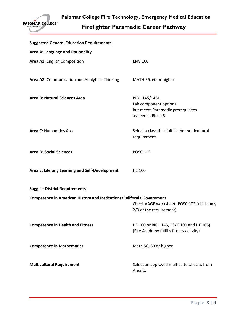

| <b>Suggested General Education Requirements</b>                       |                                                                         |
|-----------------------------------------------------------------------|-------------------------------------------------------------------------|
| Area A: Language and Rationality                                      |                                                                         |
| Area A1: English Composition                                          | <b>ENG 100</b>                                                          |
|                                                                       |                                                                         |
| Area A2: Communication and Analytical Thinking                        | MATH 56, 60 or higher                                                   |
|                                                                       |                                                                         |
| <b>Area B: Natural Sciences Area</b>                                  | BIOL 145/145L<br>Lab component optional                                 |
|                                                                       | but meets Paramedic prerequisites                                       |
|                                                                       | as seen in Block 6                                                      |
| Area C: Humanities Area                                               | Select a class that fulfills the multicultural                          |
|                                                                       | requirement.                                                            |
| <b>Area D: Social Sciences</b>                                        | <b>POSC 102</b>                                                         |
|                                                                       |                                                                         |
| Area E: Lifelong Learning and Self-Development                        | <b>HE 100</b>                                                           |
|                                                                       |                                                                         |
| <b>Suggest District Requirements</b>                                  |                                                                         |
| Competence in American History and Institutions/California Government |                                                                         |
|                                                                       | Check AAGE worksheet (POSC 102 fulfills only<br>2/3 of the requirement) |
|                                                                       |                                                                         |
| <b>Competence in Health and Fitness</b>                               | HE 100 or BIOL 145, PSYC 100 and HE 165)                                |
|                                                                       | (Fire Academy fulfills fitness activity)                                |
| <b>Competence in Mathematics</b>                                      | Math 56, 60 or higher                                                   |
|                                                                       |                                                                         |
| <b>Multicultural Requirement</b>                                      | Select an approved multicultural class from                             |
|                                                                       | Area C:                                                                 |